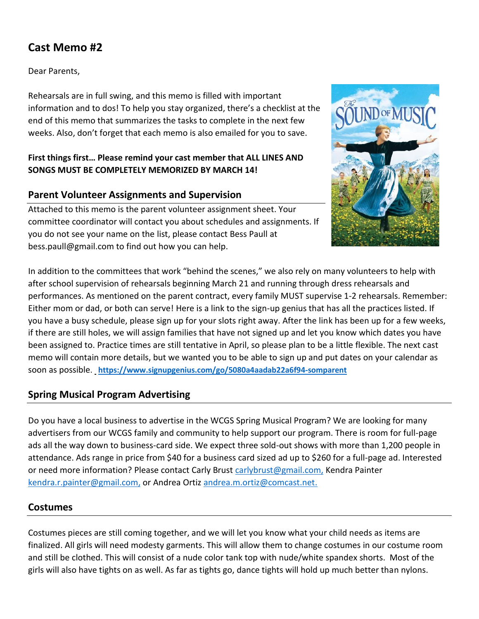# **Cast Memo #2**

Dear Parents,

Rehearsals are in full swing, and this memo is filled with important information and to dos! To help you stay organized, there's a checklist at the end of this memo that summarizes the tasks to complete in the next few weeks. Also, don't forget that each memo is also emailed for you to save.

#### **First things first… Please remind your cast member that ALL LINES AND SONGS MUST BE COMPLETELY MEMORIZED BY MARCH 14!**

## **Parent Volunteer Assignments and Supervision**

Attached to this memo is the parent volunteer assignment sheet. Your committee coordinator will contact you about schedules and assignments. If you do not see your name on the list, please contact Bess Paull at bess.paull@gmail.com to find out how you can help.



In addition to the committees that work "behind the scenes," we also rely on many volunteers to help with after school supervision of rehearsals beginning March 21 and running through dress rehearsals and performances. As mentioned on the parent contract, every family MUST supervise 1-2 rehearsals. Remember: Either mom or dad, or both can serve! Here is a link to the sign-up genius that has all the practices listed. If you have a busy schedule, please sign up for your slots right away. After the link has been up for a few weeks, if there are still holes, we will assign families that have not signed up and let you know which dates you have been assigned to. Practice times are still tentative in April, so please plan to be a little flexible. The next cast memo will contain more details, but we wanted you to be able to sign up and put dates on your calendar as soon as possible. **<https://www.signupgenius.com/go/5080a4aadab22a6f94-somparent>**

## **Spring Musical Program Advertising**

Do you have a local business to advertise in the WCGS Spring Musical Program? We are looking for many advertisers from our WCGS family and community to help support our program. There is room for full-page ads all the way down to business-card side. We expect three sold-out shows with more than 1,200 people in attendance. Ads range in price from \$40 for a business card sized ad up to \$260 for a full-page ad. Interested or need more information? Please contact Carly Brust [carlybrust@gmail.com,](mailto:carlybrust@gmail.com) Kendra Painter [kendra.r.painter@gmail.com,](mailto:kendra.r.painter@gmail.com) or Andrea Ortiz [andrea.m.ortiz@comcast.net.](mailto:andrea.m.ortiz@comcast.net)

### **Costumes**

Costumes pieces are still coming together, and we will let you know what your child needs as items are finalized. All girls will need modesty garments. This will allow them to change costumes in our costume room and still be clothed. This will consist of a nude color tank top with nude/white spandex shorts. Most of the girls will also have tights on as well. As far as tights go, dance tights will hold up much better than nylons.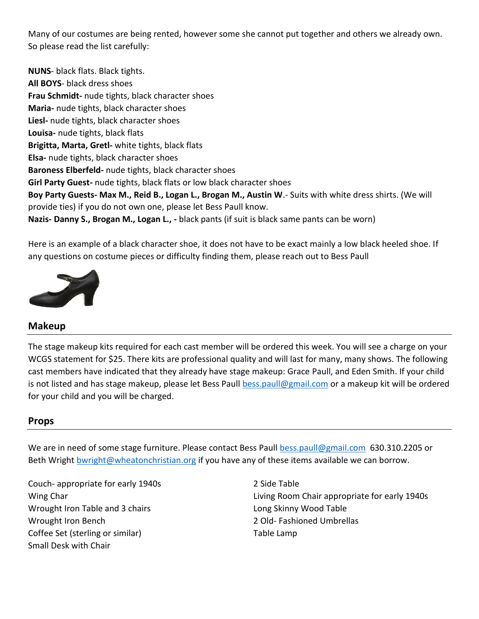Many of our costumes are being rented, however some she cannot put together and others we already own. So please read the list carefully:

**NUNS**- black flats. Black tights. **All BOYS**- black dress shoes **Frau Schmidt-** nude tights, black character shoes **Maria-** nude tights, black character shoes **Liesl-** nude tights, black character shoes **Louisa-** nude tights, black flats **Brigitta, Marta, Gretl-** white tights, black flats **Elsa-** nude tights, black character shoes **Baroness Elberfeld-** nude tights, black character shoes **Girl Party Guest-** nude tights, black flats or low black character shoes **Boy Party Guests- Max M., Reid B., Logan L., Brogan M., Austin W**.- Suits with white dress shirts. (We will provide ties) if you do not own one, please let Bess Paull know. **Nazis- Danny S., Brogan M., Logan L., -** black pants (if suit is black same pants can be worn)

Here is an example of a black character shoe, it does not have to be exact mainly a low black heeled shoe. If any questions on costume pieces or difficulty finding them, please reach out to Bess Paull



### **[Makeup](https://suburbancorrespondent.blogspot.com/2017/04/the-very-best-day.html)**

[The stage](https://creativecommons.org/licenses/by-nc-nd/3.0/) m[akeup](https://creativecommons.org/licenses/by-nc-nd/3.0/) kits required for each cast member will be ordered this week. You will see a charge on your WCGS statement for \$25. There kits are professional quality and will last for many, many shows. The following cast members have indicated that they already have stage makeup: Grace Paull, and Eden Smith. If your child is not listed and has stage makeup, please let Bess Paull [bess.paull@gmail.com](mailto:bess.paull@gmail.com) or a makeup kit will be ordered for your child and you will be charged.

### **Props**

We are in need of some stage furniture. Please contact Bess Paull [bess.paull@gmail.com](mailto:bess.paull@gmail.com) 630.310.2205 or Beth Wright [bwright@wheatonchristian.org](mailto:bwright@wheatonchristian.org) if you have any of these items available we can borrow.

Couch- appropriate for early 1940s Wing Char Wrought Iron Table and 3 chairs Wrought Iron Bench Coffee Set (sterling or similar) Small Desk with Chair

2 Side Table Living Room Chair appropriate for early 1940s Long Skinny Wood Table 2 Old- Fashioned Umbrellas Table Lamp